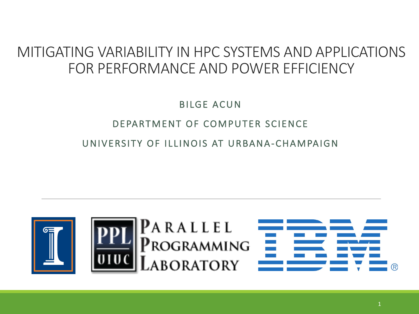## MITIGATING VARIABILITY IN HPC SYSTEMS AND APPLICATIONS FOR PERFORMANCE AND POWER EFFICIENCY

**BILGE ACUN** DEPARTMENT OF COMPUTER SCIENCE UNIVERSITY OF ILLINOIS AT URBANA-CHAMPAIGN



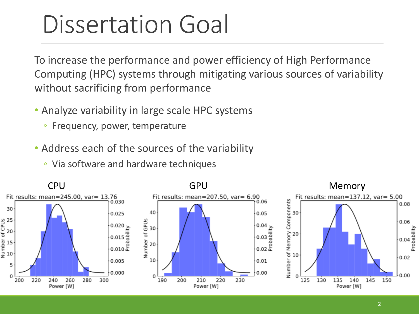## Dissertation Goal

To increase the performance and power efficiency of High Performance Computing (HPC) systems through mitigating various sources of variability without sacrificing from performance

- Analyze variability in large scale HPC systems
	- Frequency, power, temperature
- Address each of the sources of the variability
	- Via software and hardware techniques

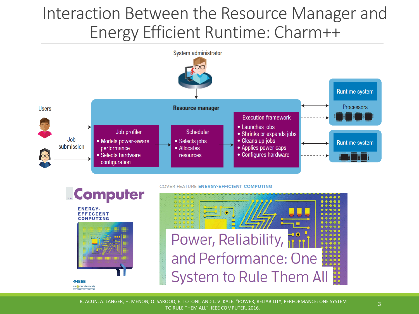## Interaction Between the Resource Manager and Energy Efficient Runtime: Charm++



**COVER FEATURE ENERGY-EFFICIENT COMPUTING** 

**ENERGY-EFFICIENT COMPUTING** 

 $\lozenge$ **IEEE** EE@icomputer society